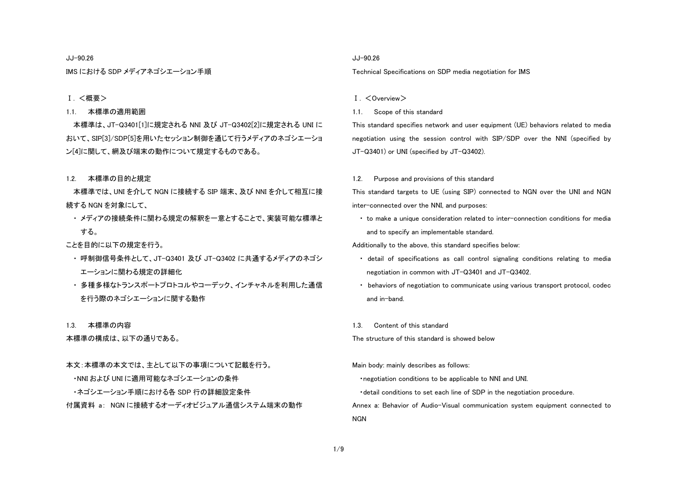#### JJ-90.26

IMS における SDP メディアネゴシエーション手順

## Ⅰ. <概要>

#### 1.1. 本標準の適用範囲

本標準は、JT-Q3401[1]に規定される NNI 及び JT-Q3402[2]に規定される UNI に おいて、SIP[3]/SDP[5]を用いたセッション制御を通じて行うメディアのネゴシエーショ ン[4]に関して、網及び端末の動作について規定するものである。

## 1.2. 本標準の目的と規定

本標準では、UNI を介して NGN に接続する SIP 端末、及び NNI を介して相互に接 続する NGN を対象にして、

・ メディアの接続条件に関わる規定の解釈を一意とすることで、実装可能な標準と する。

ことを目的に以下の規定を行う。

- ・ 呼制御信号条件として、JT-Q3401 及び JT-Q3402 に共通するメディアのネゴシ エーションに関わる規定の詳細化
- ・ 多種多様なトランスポートプロトコルやコーデック、インチャネルを利用した通信 を行う際のネゴシエーションに関する動作

1.3. 本標準の内容

本標準の構成は、以下の通りである。

本文:本標準の本文では、主として以下の事項について記載を行う。 ・NNI および UNI に適用可能なネゴシエーションの条件 ・ネゴシエーション手順における各 SDP 行の詳細設定条件 付属資料 a: NGN に接続するオーディオビジュアル通信システム端末の動作

## JJ-90.26

Technical Specifications on SDP media negotiation for IMS

Ⅰ. <Overview>

#### 1.1. Scope of this standard

This standard specifies network and user equipment (UE) behaviors related to media negotiation using the session control with SIP/SDP over the NNI (specified by JT-Q3401) or UNI (specified by JT-Q3402).

#### 1.2. Purpose and provisions of this standard

This standard targets to UE (using SIP) connected to NGN over the UNI and NGN inter-connected over the NNI, and purposes:

・ to make a unique consideration related to inter-connection conditions for media and to specify an implementable standard.

Additionally to the above, this standard specifies below:

- ・ detail of specifications as call control signaling conditions relating to media negotiation in common with JT-Q3401 and JT-Q3402.
- ・ behaviors of negotiation to communicate using various transport protocol, codec and in-band.

1.3. Content of this standard

The structure of this standard is showed below

Main body: mainly describes as follows:

・negotiation conditions to be applicable to NNI and UNI.

・detail conditions to set each line of SDP in the negotiation procedure.

Annex a: Behavior of Audio-Visual communication system equipment connected to NGN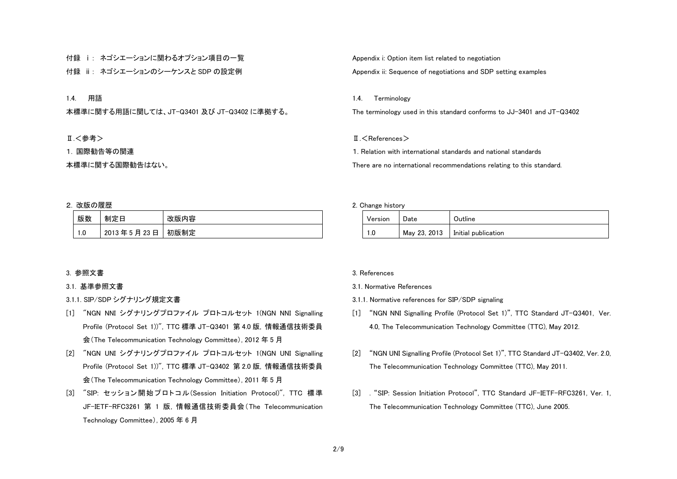付録 i: ネゴシエーションに関わるオプション項目の一覧 付録 ⅱ: ネゴシエーションのシーケンスと SDP の設定例

## 1.4. 用語

本標準に関する用語に関しては、JT-Q3401 及び JT-Q3402 に準拠する。

## Ⅱ.<参考>

1. 国際勧告等の関連

本標準に関する国際勧告はない。

Appendix i: Option item list related to negotiation Appendix ii: Sequence of negotiations and SDP setting examples

#### 1.4. Terminology

The terminology used in this standard conforms to JJ-3401 and JT-Q3402

## Ⅱ.<References>

1. Relation with international standards and national standards

There are no international recommendations relating to this standard.

#### 2. 改版の履歴

| 版数          | 制定日             | 改版内容 |
|-------------|-----------------|------|
| $\vert$ 1.0 | 2013年5月23日 初版制定 |      |

#### 2. Change history

| Version | Date | Outline                            |
|---------|------|------------------------------------|
| 1.0     |      | May 23, 2013   Initial publication |

## 3. 参照文書

## 3.1. 基準参照文書

- 3.1.1. SIP/SDP シグナリング規定文書
- [1] "NGN NNI シグナリングプロファイル プロトコルセット 1(NGN NNI Signalling Profile (Protocol Set 1))", TTC 標準 JT-Q3401 第 4.0 版, 情報通信技術委員 会(The Telecommunication Technology Committee), 2012 年 5 月
- [2] "NGN UNI シグナリングプロファイル プロトコルセット 1(NGN UNI Signalling Profile (Protocol Set 1))", TTC 標準 JT-Q3402 第 2.0 版, 情報通信技術委員 会(The Telecommunication Technology Committee), 2011 年 5 月
- [3] "SIP: セッション開始プロトコル(Session Initiation Protocol)", TTC 標準 JF-IETF-RFC3261 第 1 版, 情報通信技術委員会(The Telecommunication Technology Committee), 2005 年 6 月

### 3. References

- 3.1. Normative References
- 3.1.1. Normative references for SIP/SDP signaling
- [1] "NGN NNI Signalling Profile (Protocol Set 1)", TTC Standard JT-Q3401, Ver. 4.0, The Telecommunication Technology Committee (TTC), May 2012.
- [2] "NGN UNI Signalling Profile (Protocol Set 1)", TTC Standard JT-Q3402, Ver. 2.0, The Telecommunication Technology Committee (TTC), May 2011.
- [3] . "SIP: Session Initiation Protocol", TTC Standard JF-IETF-RFC3261, Ver. 1, The Telecommunication Technology Committee (TTC), June 2005.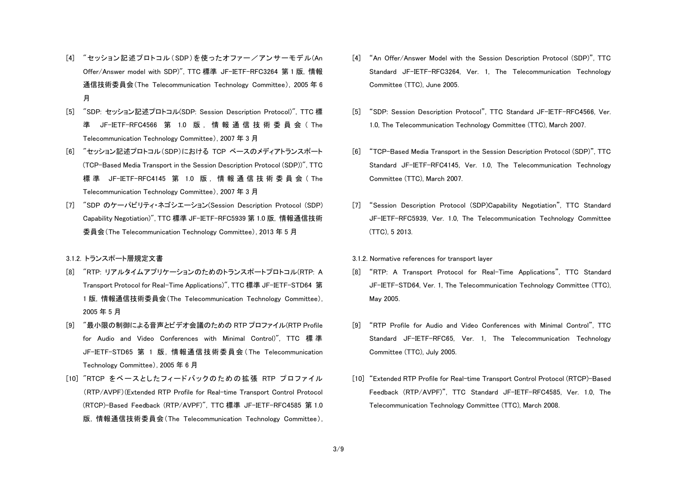- [4] "セッション記述プロトコル(SDP)を使ったオファー/アンサーモデル(An Offer/Answer model with SDP)", TTC 標準 JF-IETF-RFC3264 第 1 版, 情報 通信技術委員会(The Telecommunication Technology Committee), 2005 年 6 月
- [5] "SDP: セッション記述プロトコル(SDP: Session Description Protocol)", TTC 標 準 JF-IETF-RFC4566 第 1.0 版 , 情報通信 技術委員会( The Telecommunication Technology Committee), 2007 年 3 月
- [6] "セッション記述プロトコル(SDP)における TCP ベースのメディアトランスポート (TCP-Based Media Transport in the Session Description Protocol (SDP))", TTC 標 準 JF-IETF-RFC4145 第 1.0 版, 情報通信技術委員会 ( The Telecommunication Technology Committee), 2007 年 3 月
- [7] "SDP のケーパビリティ・ネゴシエーション(Session Description Protocol (SDP) Capability Negotiation)", TTC 標準 JF-IETF-RFC5939 第 1.0 版, 情報通信技術 委員会(The Telecommunication Technology Committee), 2013 年 5 月

## 3.1.2. トランスポート層規定文書

- [8] "RTP: リアルタイムアプリケーションのためのトランスポートプロトコル(RTP: A Transport Protocol for Real-Time Applications)", TTC 標準 JF-IETF-STD64 第 1 版, 情報通信技術委員会(The Telecommunication Technology Committee), 2005 年 5 月
- [9] "最小限の制御による音声とビデオ会議のための RTP プロファイル(RTP Profile for Audio and Video Conferences with Minimal Control)", TTC 標 準 JF-IETF-STD65 第 1 版, 情報通信技術委員会(The Telecommunication Technology Committee), 2005 年 6 月
- [10] "RTCP をベースとしたフィードバックのための拡張 RTP プロファイル (RTP/AVPF)(Extended RTP Profile for Real-time Transport Control Protocol (RTCP)-Based Feedback (RTP/AVPF)", TTC 標準 JF-IETF-RFC4585 第 1.0 版, 情報通信技術委員会(The Telecommunication Technology Committee),
- [4] "An Offer/Answer Model with the Session Description Protocol (SDP)", TTC Standard JF-IETF-RFC3264, Ver. 1, The Telecommunication Technology Committee (TTC), June 2005.
- [5] "SDP: Session Description Protocol", TTC Standard JF-IETF-RFC4566, Ver. 1.0, The Telecommunication Technology Committee (TTC), March 2007.
- [6] "TCP-Based Media Transport in the Session Description Protocol (SDP)", TTC Standard JF-IETF-RFC4145, Ver. 1.0, The Telecommunication Technology Committee (TTC), March 2007.
- [7] "Session Description Protocol (SDP)Capability Negotiation", TTC Standard JF-IETF-RFC5939, Ver. 1.0, The Telecommunication Technology Committee (TTC), 5 2013.

#### 3.1.2. Normative references for transport layer

- [8] "RTP: A Transport Protocol for Real-Time Applications", TTC Standard JF-IETF-STD64, Ver. 1, The Telecommunication Technology Committee (TTC), May 2005.
- [9] "RTP Profile for Audio and Video Conferences with Minimal Control", TTC Standard JF-IETF-RFC65, Ver. 1, The Telecommunication Technology Committee (TTC), July 2005.
- [10] "Extended RTP Profile for Real-time Transport Control Protocol (RTCP)-Based Feedback (RTP/AVPF)", TTC Standard JF-IETF-RFC4585, Ver. 1.0, The Telecommunication Technology Committee (TTC), March 2008.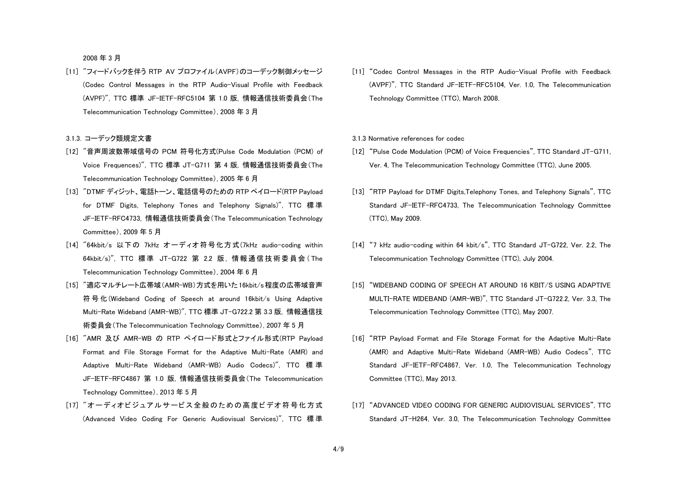2008 年 3 月

[11] "フィードバックを伴う RTP AV プロファイル(AVPF)のコーデック制御メッセージ (Codec Control Messages in the RTP Audio-Visual Profile with Feedback (AVPF)", TTC 標準 JF-IETF-RFC5104 第 1.0 版, 情報通信技術委員会(The Telecommunication Technology Committee), 2008 年 3 月

## 3.1.3. コーデック類規定文書

- [12] "音声周波数帯域信号の PCM 符号化方式(Pulse Code Modulation (PCM) of Voice Frequences)", TTC 標準 JT-G711 第 4 版, 情報通信技術委員会(The Telecommunication Technology Committee), 2005 年 6 月
- [13] "DTMF ディジット、電話トーン、電話信号のための RTP ペイロード(RTP Payload for DTMF Digits, Telephony Tones and Telephony Signals)", TTC 標 準 JF-IETF-RFC4733, 情報通信技術委員会(The Telecommunication Technology Committee), 2009 年 5 月
- [14] "64kbit/s 以下の 7kHz オーディオ符号化方式(7kHz audio-coding within 64kbit/s)", TTC 標準 JT-G722 第 2.2 版, 情報通信技術委員会( The Telecommunication Technology Committee), 2004 年 6 月
- [15] "適応マルチレート広帯域(AMR-WB)方式を用いた16kbit/s程度の広帯域音声 符号化 (Wideband Coding of Speech at around 16kbit/s Using Adaptive Multi-Rate Wideband (AMR-WB)", TTC 標準 JT-G722.2 第 3.3 版, 情報通信技 術委員会(The Telecommunication Technology Committee), 2007 年 5 月
- [16] "AMR 及び AMR-WB の RTP ペイロード形式とファイル形式(RTP Payload Format and File Storage Format for the Adaptive Multi-Rate (AMR) and Adaptive Multi-Rate Wideband (AMR-WB) Audio Codecs)", TTC 標 準 JF-IETF-RFC4867 第 1.0 版, 情報通信技術委員会(The Telecommunication Technology Committee), 2013 年 5 月
- [17] "オーディオビジュアルサービス全般のための高度ビデオ符号化方式 (Advanced Video Coding For Generic Audiovisual Services)", TTC 標 準

[11] "Codec Control Messages in the RTP Audio-Visual Profile with Feedback (AVPF)", TTC Standard JF-IETF-RFC5104, Ver. 1.0, The Telecommunication Technology Committee (TTC), March 2008.

#### 3.1.3 Normative references for codec

- [12] "Pulse Code Modulation (PCM) of Voice Frequencies", TTC Standard JT-G711, Ver. 4, The Telecommunication Technology Committee (TTC), June 2005.
- [13] "RTP Payload for DTMF Digits,Telephony Tones, and Telephony Signals", TTC Standard JF-IETF-RFC4733, The Telecommunication Technology Committee (TTC), May 2009.
- [14] "7 kHz audio-coding within 64 kbit/s", TTC Standard JT-G722, Ver. 2.2, The Telecommunication Technology Committee (TTC), July 2004.
- [15] "WIDEBAND CODING OF SPEECH AT AROUND 16 KBIT/S USING ADAPTIVE MULTI-RATE WIDEBAND (AMR-WB)", TTC Standard JT-G722.2, Ver. 3.3, The Telecommunication Technology Committee (TTC), May 2007.
- [16] "RTP Payload Format and File Storage Format for the Adaptive Multi-Rate (AMR) and Adaptive Multi-Rate Wideband (AMR-WB) Audio Codecs", TTC Standard JF-IETF-RFC4867, Ver. 1.0, The Telecommunication Technology Committee (TTC), May 2013.
- [17] "ADVANCED VIDEO CODING FOR GENERIC AUDIOVISUAL SERVICES", TTC Standard JT-H264, Ver. 3.0, The Telecommunication Technology Committee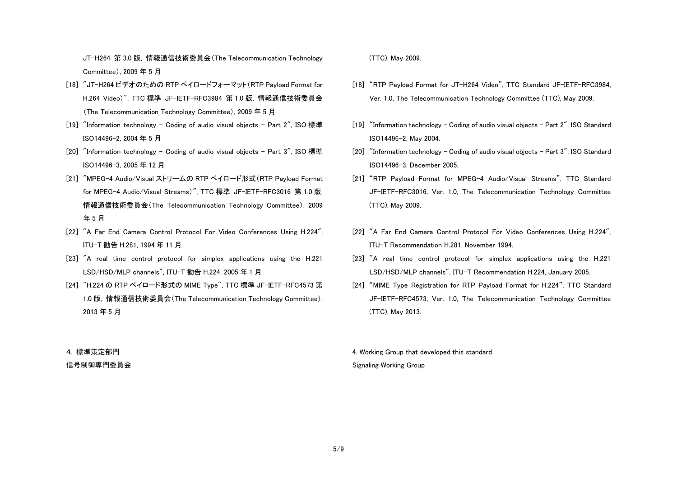JT-H264 第 3.0 版, 情報通信技術委員会(The Telecommunication Technology Committee), 2009 年 5 月

- [18] "JT-H264 ビデオのための RTP ペイロードフォーマット(RTP Payload Format for H.264 Video)", TTC 標準 JF-IETF-RFC3984 第 1.0 版, 情報通信技術委員会 (The Telecommunication Technology Committee), 2009 年 5 月
- [19] "Information technology Coding of audio visual objects Part 2", ISO 標準 ISO14496-2, 2004 年 5 月
- [20] "Information technology Coding of audio visual objects Part 3", ISO 標準 ISO14496-3, 2005 年 12 月
- [21] "MPEG-4 Audio/Visual ストリームの RTP ペイロード形式(RTP Payload Format for MPEG-4 Audio/Visual Streams)", TTC 標準 JF-IETF-RFC3016 第 1.0 版, 情報通信技術委員会(The Telecommunication Technology Committee), 2009 年 5 月
- [22] "A Far End Camera Control Protocol For Video Conferences Using H.224", ITU-T 勧告 H.281, 1994 年 11 月
- [23] "A real time control protocol for simplex applications using the H.221 LSD/HSD/MLP channels", ITU-T 勧告 H.224, 2005 年 1 月
- [24] "H.224 の RTP ペイロード形式の MIME Type", TTC 標準 JF-IETF-RFC4573 第 1.0 版, 情報通信技術委員会(The Telecommunication Technology Committee), 2013 年 5 月

# 4. 標準策定部門

信号制御専門委員会

(TTC), May 2009.

- [18] "RTP Payload Format for JT-H264 Video", TTC Standard JF-IETF-RFC3984, Ver. 1.0, The Telecommunication Technology Committee (TTC), May 2009.
- [19] "Information technology Coding of audio visual objects Part 2", ISO Standard ISO14496-2, May 2004.
- [20] "Information technology Coding of audio visual objects Part 3", ISO Standard ISO14496-3, December 2005.
- [21] "RTP Payload Format for MPEG-4 Audio/Visual Streams", TTC Standard JF-IETF-RFC3016, Ver. 1.0, The Telecommunication Technology Committee (TTC), May 2009.
- [22] "A Far End Camera Control Protocol For Video Conferences Using H.224", ITU-T Recommendation H.281, November 1994.
- [23] "A real time control protocol for simplex applications using the H.221 LSD/HSD/MLP channels", ITU-T Recommendation H.224, January 2005.
- [24] "MIME Type Registration for RTP Payload Format for H.224", TTC Standard JF-IETF-RFC4573, Ver. 1.0, The Telecommunication Technology Committee (TTC), May 2013.

4. Working Group that developed this standard Signaling Working Group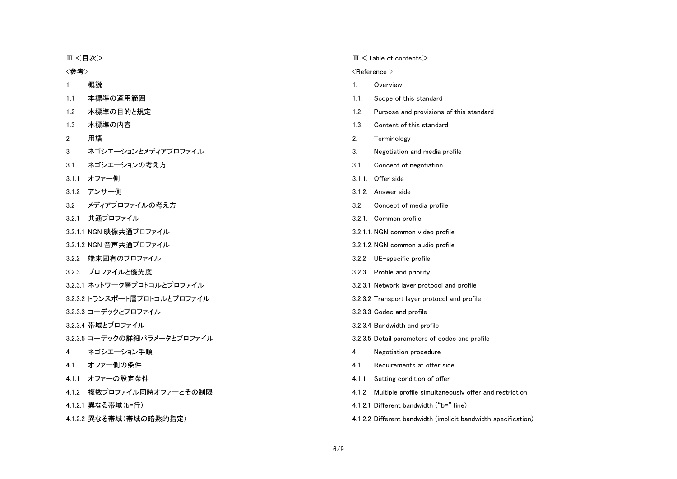Ⅲ.<目次>

<参考>

- 1 概説
- 1.1 本標準の適用範囲
- 1.2 本標準の目的と規定
- 1.3 本標準の内容
- 2 用語
- 3 ネゴシエーションとメディアプロファイル
- 3.1 ネゴシエーションの考え方
- 3.1.1 オファー側
- 3.1.2 アンサー側
- 3.2 メディアプロファイルの考え方
- 3.2.1 共通プロファイル
- 3.2.1.1 NGN 映像共通プロファイル
- 3.2.1.2 NGN 音声共通プロファイル
- 3.2.2 端末固有のプロファイル
- 3.2.3 プロファイルと優先度
- 3.2.3.1 ネットワーク層プロトコルとプロファイル
- 3.2.3.2 トランスポート層プロトコルとプロファイル
- 3.2.3.3 コーデックとプロファイル
- 3.2.3.4 帯域とプロファイル
- 3.2.3.5 コーデックの詳細パラメータとプロファイル
- 4 ネゴシエーション手順
- 4.1 オファー側の条件
- 4.1.1 オファーの設定条件
- 4.1.2 複数プロファイル同時オファーとその制限
- 4.1.2.1 異なる帯域(b=行)
- 4.1.2.2 異なる帯域(帯域の暗黙的指定)
- Ⅲ.<Table of contents> <Reference >
- 1. Overview
- 1.1. Scope of this standard
- 1.2. Purpose and provisions of this standard
- 1.3. Content of this standard
- 2. Terminology
- 3. Negotiation and media profile
- 3.1. Concept of negotiation
- 3.1.1. Offer side
- 3.1.2. Answer side
- 3.2. Concept of media profile
- 3.2.1. Common profile
- 3.2.1.1. NGN common video profile
- 3.2.1.2. NGN common audio profile
- 3.2.2 UE-specific profile
- 3.2.3 Profile and priority
- 3.2.3.1 Network layer protocol and profile
- 3.2.3.2 Transport layer protocol and profile
- 3.2.3.3 Codec and profile
- 3.2.3.4 Bandwidth and profile
- 3.2.3.5 Detail parameters of codec and profile
- 4 Negotiation procedure
- 4.1 Requirements at offer side
- 4.1.1 Setting condition of offer
- 4.1.2 Multiple profile simultaneously offer and restriction
- 4.1.2.1 Different bandwidth ("b=" line)
- 4.1.2.2 Different bandwidth (implicit bandwidth specification)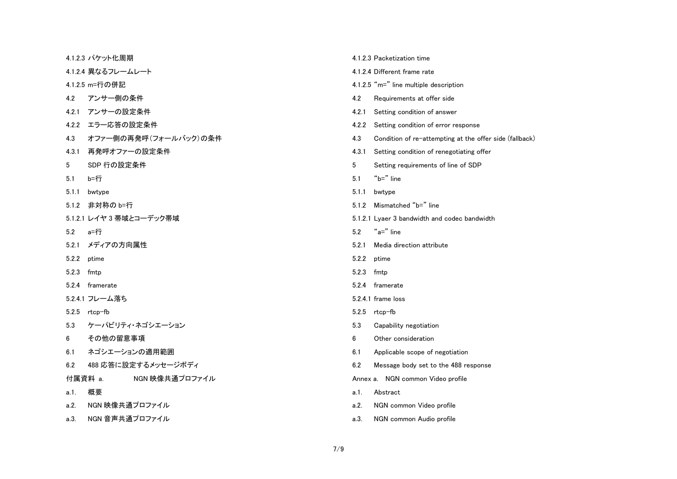4.1.2.3 パケット化周期

4.1.2.4 異なるフレームレート

4.1.2.5 m=行の併記

- 4.2 アンサー側の条件
- 4.2.1 アンサーの設定条件
- 4.2.2 エラー応答の設定条件
- 4.3 オファー側の再発呼(フォールバック)の条件
- 4.3.1 再発呼オファーの設定条件
- 5 SDP 行の設定条件
- 5.1 b=行
- 5.1.1 bwtype
- 5.1.2 非対称の b=行
- 5.1.2.1 レイヤ 3 帯域とコーデック帯域
- 5.2 a=行
- 5.2.1 メディアの方向属性
- 5.2.2 ptime
- 5.2.3 fmtp
- 5.2.4 framerate
- 5.2.4.1 フレーム落ち
- 5.2.5 rtcp-fb
- 5.3 ケーパビリティ・ネゴシエーション
- 6 その他の留意事項
- 6.1 ネゴシエーションの適用範囲
- 6.2 488 応答に設定するメッセージボディ
- 付属資料 a. NGN 映像共通プロファイル
- a.1. 概要
- a.2. NGN 映像共通プロファイル
- a.3. NGN 音声共通プロファイル
- 4.1.2.3 Packetization time 4.1.2.4 Different frame rate 4.1.2.5 "m=" line multiple description 4.2 Requirements at offer side 4.2.1 Setting condition of answer 4.2.2 Setting condition of error response 4.3 Condition of re-attempting at the offer side (fallback) 4.3.1 Setting condition of renegotiating offer 5 Setting requirements of line of SDP 5.1  $h =$ " line 5.1.1 bwtype 5.1.2 Mismatched "b=" line 5.1.2.1 Lyaer 3 bandwidth and codec bandwidth 5.2 "a=" line 5.2.1 Media direction attribute 5.2.2 ptime 5.2.3 fmtp 5.2.4 framerate 5.2.4.1 frame loss 5.2.5 rtcp-fb 5.3 Capability negotiation 6 Other consideration 6.1 Applicable scope of negotiation 6.2 Message body set to the 488 response Annex a. NGN common Video profile a.1. Abstract a.2. NGN common Video profile
- a.3. NGN common Audio profile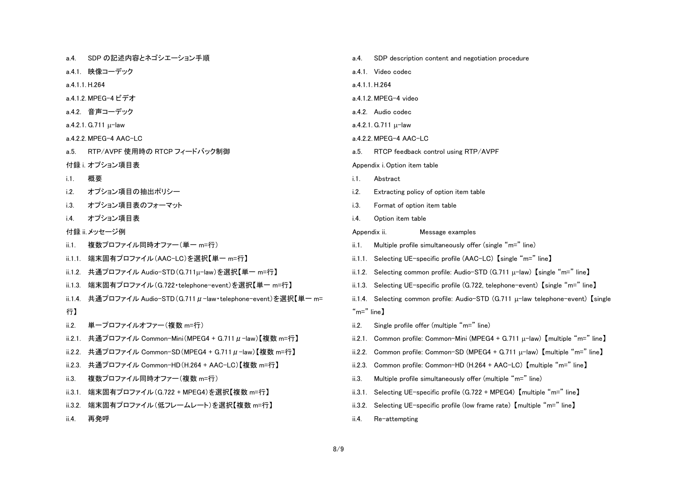| SDP の記述内容とネゴシエーション手順                                                  | SDP description content and negotiation procedure                                      |
|-----------------------------------------------------------------------|----------------------------------------------------------------------------------------|
| a.4.                                                                  | a.4.                                                                                   |
| a.4.1. 映像コーデック                                                        | a.4.1. Video codec                                                                     |
| a.4.1.1. H.264                                                        | a.4.1.1. H.264                                                                         |
| a.4.1.2. MPEG-4 ビデオ                                                   | a.4.1.2. MPEG-4 video                                                                  |
| a.4.2. 音声コーデック                                                        | a.4.2. Audio codec                                                                     |
| a.4.2.1. G.711 µ-law                                                  | a.4.2.1. G.711 $\mu$ -law                                                              |
| a.4.2.2. MPEG-4 AAC-LC                                                | a.4.2.2. MPEG-4 AAC-LC                                                                 |
| RTP/AVPF 使用時の RTCP フィードバック制御                                          | RTCP feedback control using RTP/AVPF                                                   |
| a.5.                                                                  | a.5.                                                                                   |
| 付録 i. オプション項目表                                                        | Appendix i. Option item table                                                          |
| 概要                                                                    | i.1.                                                                                   |
| i.1.                                                                  | Abstract                                                                               |
| オプション項目の抽出ポリシー                                                        | i.2.                                                                                   |
| i.2.                                                                  | Extracting policy of option item table                                                 |
| オプション項目表のフォーマット                                                       | i.3.                                                                                   |
| i.3.                                                                  | Format of option item table                                                            |
| オプション項目表                                                              | Option item table                                                                      |
| i.4.                                                                  | i.4.                                                                                   |
| 付録 ii.メッセージ例                                                          | Appendix ii.<br>Message examples                                                       |
| 複数プロファイル同時オファー(単一 m=行)                                                | Multiple profile simultaneously offer (single "m=" line)                               |
| ii.1.                                                                 | ii.1.                                                                                  |
| 端末固有プロファイル(AAC-LC)を選択【単一 m=行】                                         | Selecting UE-specific profile (AAC-LC) [single "m=" line]                              |
| ii.1.1.                                                               | ii.1.1.                                                                                |
| 共通プロファイル Audio-STD(G.711µ-law)を選択【単一 m=行】                             | Selecting common profile: Audio-STD (G.711 µ-law) [single "m=" line]                   |
| ii.1.2.                                                               | ii.1.2.                                                                                |
| 端末固有プロファイル(G.722・telephone-event)を選択【単一 m=行】                          | Selecting UE-specific profile (G.722, telephone-event) [single "m=" line]              |
| ii.1.3.                                                               | ii.1.3.                                                                                |
| 共通プロファイル Audio-STD (G.711 µ -law telephone-event)を選択【単一 m=<br>ii.1.4. | ii.1.4. Selecting common profile: Audio-STD $(G.711 \mu$ -law telephone-event) (single |
| 行】                                                                    | $m="$ line]                                                                            |
| 単一プロファイルオファー(複数 m=行)                                                  | Single profile offer (multiple "m=" line)                                              |
| ii.2.                                                                 | ii.2.                                                                                  |
| 共通プロファイル Common-Mini(MPEG4 + G.711 μ –law)【複数 m=行】                    | Common profile: Common-Mini (MPEG4 + G.711 $\mu$ -law) [multiple "m=" line]            |
| ii.2.1.                                                               | ii.2.1.                                                                                |
| ii.2.2.                                                               | Common profile: Common-SD (MPEG4 + G.711 $\mu$ -law) [multiple "m=" line]              |
| 共通プロファイル Common-SD(MPEG4 + G.711 μ –law)【複数 m=行】                      | ii.2.2.                                                                                |
| 共通プロファイル Common-HD (H.264 + AAC-LC)【複数 m=行】                           | Common profile: Common-HD (H.264 + AAC-LC) [multiple "m=" line]                        |
| ii.2.3.                                                               | ii.2.3.                                                                                |
| 複数プロファイル同時オファー(複数 m=行)                                                | Multiple profile simultaneously offer (multiple "m=" line)                             |
| ii.3.                                                                 | ii.3.                                                                                  |
| 端末固有プロファイル(G.722 + MPEG4)を選択【複数 m=行】                                  | Selecting UE-specific profile (G.722 + MPEG4) [multiple "m=" line]                     |
| ii.3.1.                                                               | ii.3.1.                                                                                |
| 端末固有プロファイル(低フレームレート)を選択【複数 m=行】                                       | Selecting UE-specific profile (low frame rate) [multiple "m=" line]                    |
| ii.3.2.                                                               | ii.3.2.                                                                                |
| 再発呼                                                                   | ii.4.                                                                                  |
| ii.4.                                                                 | Re-attempting                                                                          |